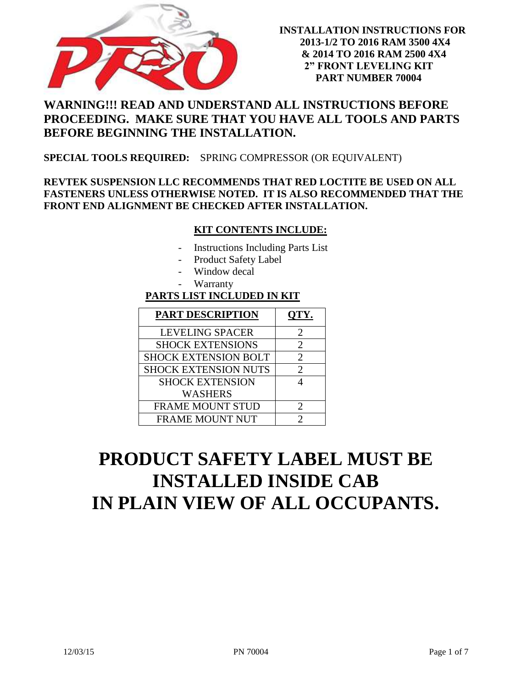

## **WARNING!!! READ AND UNDERSTAND ALL INSTRUCTIONS BEFORE PROCEEDING. MAKE SURE THAT YOU HAVE ALL TOOLS AND PARTS BEFORE BEGINNING THE INSTALLATION.**

#### **SPECIAL TOOLS REQUIRED:** SPRING COMPRESSOR (OR EQUIVALENT)

### **REVTEK SUSPENSION LLC RECOMMENDS THAT RED LOCTITE BE USED ON ALL FASTENERS UNLESS OTHERWISE NOTED. IT IS ALSO RECOMMENDED THAT THE FRONT END ALIGNMENT BE CHECKED AFTER INSTALLATION.**

#### **KIT CONTENTS INCLUDE:**

- Instructions Including Parts List
- Product Safety Label
- Window decal
- **Warranty**

### **PARTS LIST INCLUDED IN KIT**

| <b>PART DESCRIPTION</b>     | QTY.                        |
|-----------------------------|-----------------------------|
| <b>LEVELING SPACER</b>      | $\mathcal{D}_{\mathcal{L}}$ |
| <b>SHOCK EXTENSIONS</b>     | $\mathcal{D}_{\mathcal{L}}$ |
| <b>SHOCK EXTENSION BOLT</b> | $\mathcal{D}_{\cdot}$       |
| <b>SHOCK EXTENSION NUTS</b> | $\mathcal{D}_{\mathcal{L}}$ |
| <b>SHOCK EXTENSION</b>      |                             |
| <b>WASHERS</b>              |                             |
| <b>FRAME MOUNT STUD</b>     | 2                           |
| <b>FRAME MOUNT NUT</b>      |                             |

# **PRODUCT SAFETY LABEL MUST BE INSTALLED INSIDE CAB IN PLAIN VIEW OF ALL OCCUPANTS.**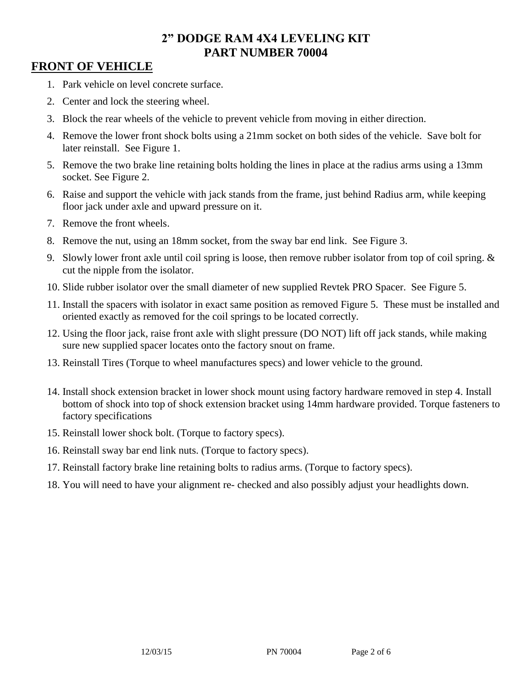## **FRONT OF VEHICLE**

- 1. Park vehicle on level concrete surface.
- 2. Center and lock the steering wheel.
- 3. Block the rear wheels of the vehicle to prevent vehicle from moving in either direction.
- 4. Remove the lower front shock bolts using a 21mm socket on both sides of the vehicle. Save bolt for later reinstall. See Figure 1.
- 5. Remove the two brake line retaining bolts holding the lines in place at the radius arms using a 13mm socket. See Figure 2.
- 6. Raise and support the vehicle with jack stands from the frame, just behind Radius arm, while keeping floor jack under axle and upward pressure on it.
- 7. Remove the front wheels.
- 8. Remove the nut, using an 18mm socket, from the sway bar end link. See Figure 3.
- 9. Slowly lower front axle until coil spring is loose, then remove rubber isolator from top of coil spring. & cut the nipple from the isolator.
- 10. Slide rubber isolator over the small diameter of new supplied Revtek PRO Spacer. See Figure 5.
- 11. Install the spacers with isolator in exact same position as removed Figure 5. These must be installed and oriented exactly as removed for the coil springs to be located correctly.
- 12. Using the floor jack, raise front axle with slight pressure (DO NOT) lift off jack stands, while making sure new supplied spacer locates onto the factory snout on frame.
- 13. Reinstall Tires (Torque to wheel manufactures specs) and lower vehicle to the ground.
- 14. Install shock extension bracket in lower shock mount using factory hardware removed in step 4. Install bottom of shock into top of shock extension bracket using 14mm hardware provided. Torque fasteners to factory specifications
- 15. Reinstall lower shock bolt. (Torque to factory specs).
- 16. Reinstall sway bar end link nuts. (Torque to factory specs).
- 17. Reinstall factory brake line retaining bolts to radius arms. (Torque to factory specs).
- 18. You will need to have your alignment re- checked and also possibly adjust your headlights down.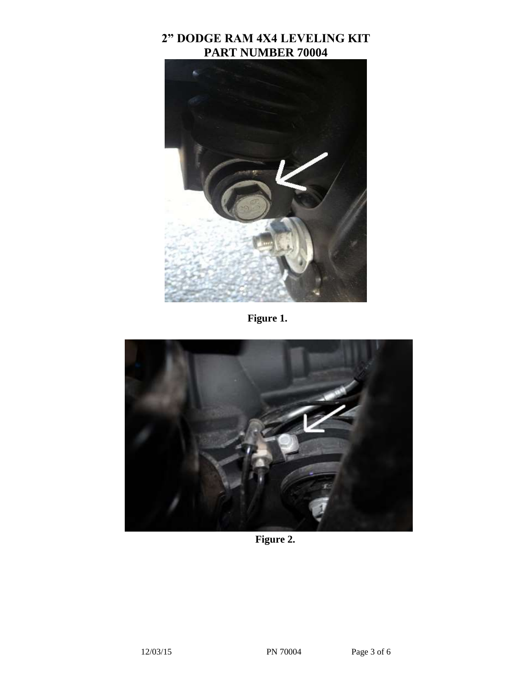

 **Figure 1.**



 **Figure 2.**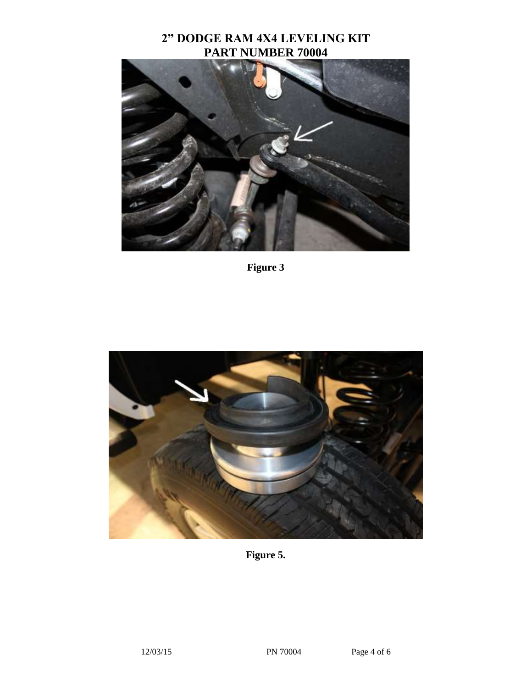

**Figure 3**



**Figure 5.**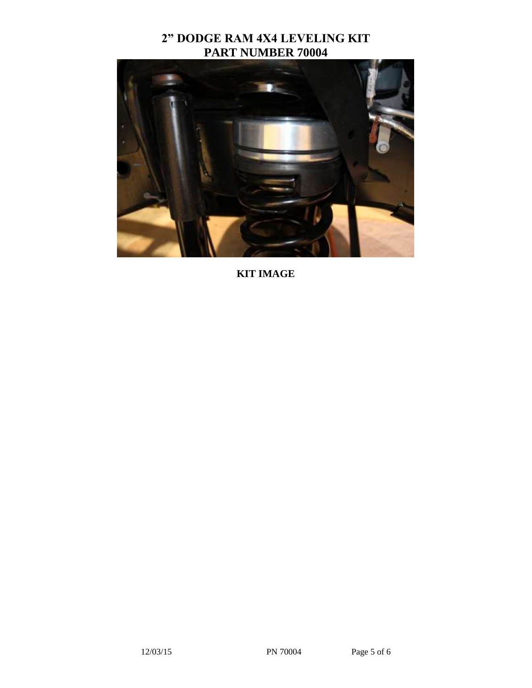

**KIT IMAGE**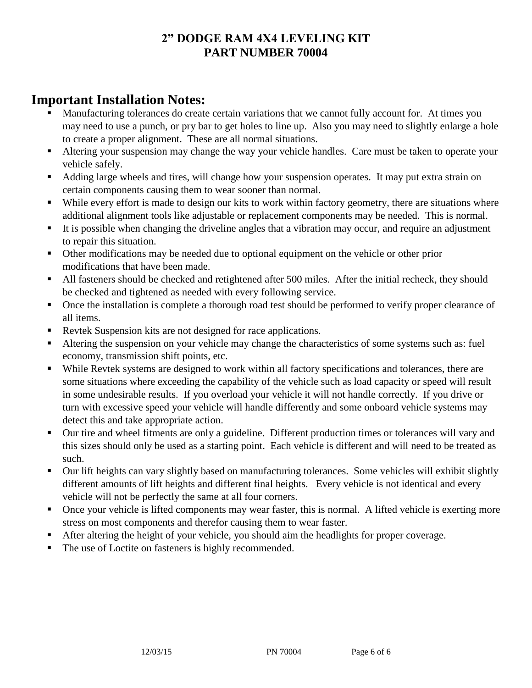# **Important Installation Notes:**

- Manufacturing tolerances do create certain variations that we cannot fully account for. At times you may need to use a punch, or pry bar to get holes to line up. Also you may need to slightly enlarge a hole to create a proper alignment. These are all normal situations.
- Altering your suspension may change the way your vehicle handles. Care must be taken to operate your vehicle safely.
- Adding large wheels and tires, will change how your suspension operates. It may put extra strain on certain components causing them to wear sooner than normal.
- While every effort is made to design our kits to work within factory geometry, there are situations where additional alignment tools like adjustable or replacement components may be needed. This is normal.
- It is possible when changing the driveline angles that a vibration may occur, and require an adjustment to repair this situation.
- Other modifications may be needed due to optional equipment on the vehicle or other prior modifications that have been made.
- All fasteners should be checked and retightened after 500 miles. After the initial recheck, they should be checked and tightened as needed with every following service.
- Once the installation is complete a thorough road test should be performed to verify proper clearance of all items.
- Revtek Suspension kits are not designed for race applications.
- Altering the suspension on your vehicle may change the characteristics of some systems such as: fuel economy, transmission shift points, etc.
- While Revtek systems are designed to work within all factory specifications and tolerances, there are some situations where exceeding the capability of the vehicle such as load capacity or speed will result in some undesirable results. If you overload your vehicle it will not handle correctly. If you drive or turn with excessive speed your vehicle will handle differently and some onboard vehicle systems may detect this and take appropriate action.
- Our tire and wheel fitments are only a guideline. Different production times or tolerances will vary and this sizes should only be used as a starting point. Each vehicle is different and will need to be treated as such.
- Our lift heights can vary slightly based on manufacturing tolerances. Some vehicles will exhibit slightly different amounts of lift heights and different final heights. Every vehicle is not identical and every vehicle will not be perfectly the same at all four corners.
- Once your vehicle is lifted components may wear faster, this is normal. A lifted vehicle is exerting more stress on most components and therefor causing them to wear faster.
- After altering the height of your vehicle, you should aim the headlights for proper coverage.
- The use of Loctite on fasteners is highly recommended.